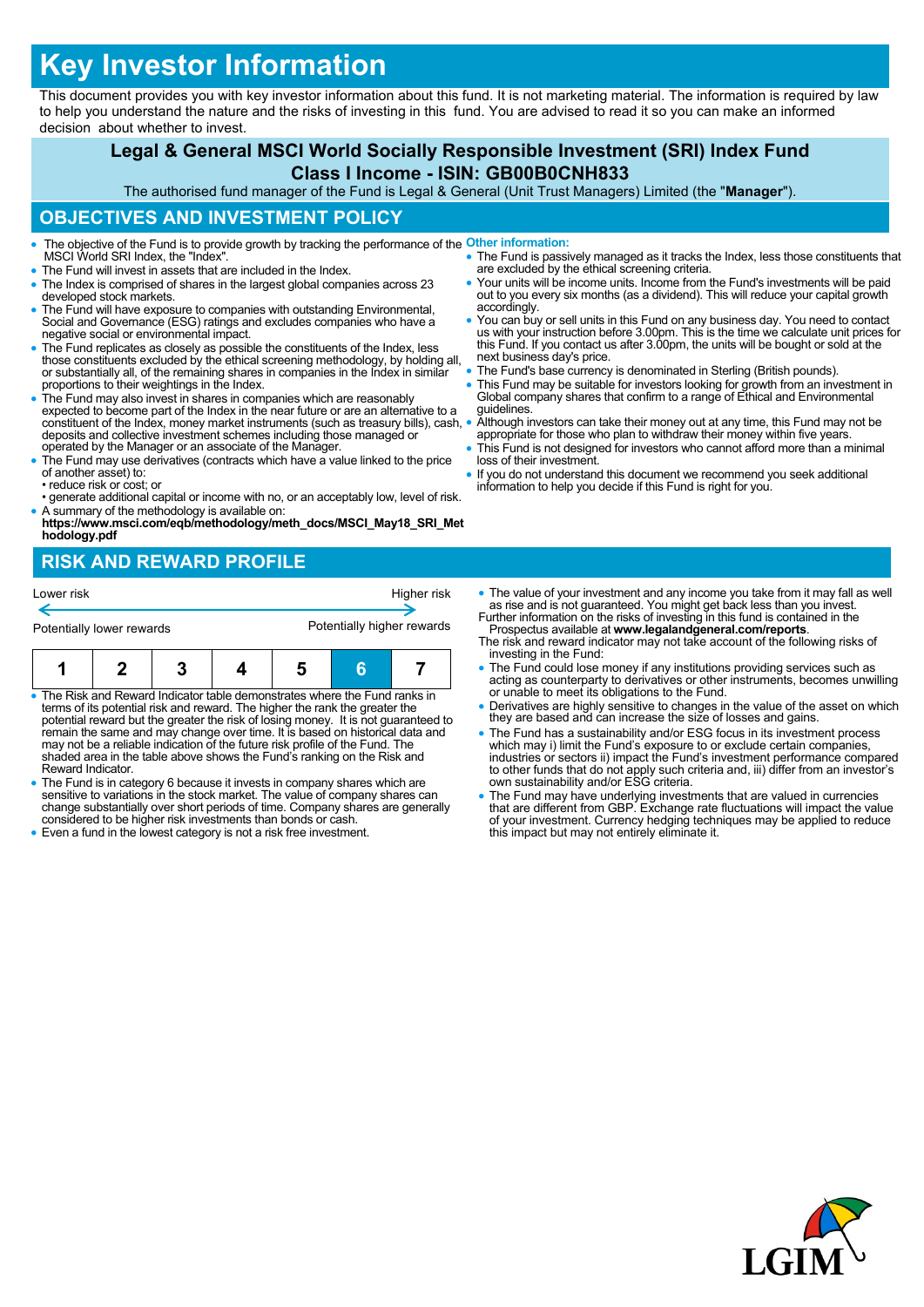# **Key Investor Information**

This document provides you with key investor information about this fund. It is not marketing material. The information is required by law to help you understand the nature and the risks of investing in this fund. You are advised to read it so you can make an informed decision about whether to invest.

## **Legal & General MSCI World Socially Responsible Investment (SRI) Index Fund Class I Income - ISIN: GB00B0CNH833**

The authorised fund manager of the Fund is Legal & General (Unit Trust Managers) Limited (the "**Manager**").

#### **OBJECTIVES AND INVESTMENT POLICY**

- The objective of the Fund is to provide growth by tracking the performance of the **Other information:** MSCI World SRI Index, the "Index".
- The Fund will invest in assets that are included in the Index.
- The Index is comprised of shares in the largest global companies across 23 developed stock markets.
- The Fund will have exposure to companies with outstanding Environmental, Social and Governance (ESG) ratings and excludes companies who have a negative social or environmental impact.
- The Fund replicates as closely as possible the constituents of the Index, less those constituents excluded by the ethical screening methodology, by holding all, or substantially all, of the remaining shares in companies in the Index in similar proportions to their weightings in the Index.
- The Fund may also invest in shares in companies which are reasonably expected to become part of the Index in the near future or are an alternative to a constituent of the Index, money market instruments (such as treasury bills), cash, deposits and collective investment schemes including those managed or operated by the Manager or an associate of the Manager.
- The Fund may use derivatives (contracts which have a value linked to the price of another asset) to: • reduce risk or cost; or
- generate additional capital or income with no, or an acceptably low, level of risk.
- A summary of the methodology is available on: **https://www.msci.com/eqb/methodology/meth\_docs/MSCI\_May18\_SRI\_Met hodology.pdf**

# **RISK AND REWARD PROFILE**

| Lower risk                |  |  |  | Higher risk                |   |  |
|---------------------------|--|--|--|----------------------------|---|--|
| Potentially lower rewards |  |  |  | Potentially higher rewards |   |  |
|                           |  |  |  |                            | s |  |

- The Risk and Reward Indicator table demonstrates where the Fund ranks in terms of its potential risk and reward. The higher the rank the greater the potential reward but the greater the risk of losing money. It is not guaranteed to<br>remain the same and may change over time. It is based on historical data and<br>may not be a reliable indication of the future risk profile of shaded area in the table above shows the Fund's ranking on the Risk and Reward Indicator.
- The Fund is in category 6 because it invests in company shares which are sensitive to variations in the stock market. The value of company shares can change substantially over short periods of time. Company shares are generally considered to be higher risk investments than bonds or cash.
- Even a fund in the lowest category is not a risk free investment.
- The Fund is passively managed as it tracks the Index, less those constituents that are excluded by the ethical screening criteria. • Your units will be income units. Income from the Fund's investments will be paid
- out to you every six months (as a dividend). This will reduce your capital growth accordingly.
- You can buy or sell units in this Fund on any business day. You need to contact us with your instruction before 3.00pm. This is the time we calculate unit prices for this Fund. If you contact us after 3.00pm, the units will be bought or sold at the next business day's price.
- The Fund's base currency is denominated in Sterling (British pounds).
- This Fund may be suitable for investors looking for growth from an investment in Global company shares that confirm to a range of Ethical and Environmental guidelines.
- Although investors can take their money out at any time, this Fund may not be appropriate for those who plan to withdraw their money within five years.
- This Fund is not designed for investors who cannot afford more than a minimal loss of their investment.
- If you do not understand this document we recommend you seek additional information to help you decide if this Fund is right for you.
- The value of your investment and any income you take from it may fall as well as rise and is not guaranteed. You might get back less than you invest. Further information on the risks of investing in this fund is contained in the
- Prospectus available at **www.legalandgeneral.com/reports**. The risk and reward indicator may not take account of the following risks of investing in the Fund:
- The Fund could lose money if any institutions providing services such as acting as counterparty to derivatives or other instruments, becomes unwilling or unable to meet its obligations to the Fund.
- Derivatives are highly sensitive to changes in the value of the asset on which they are based and can increase the size of losses and gains.
- The Fund has a sustainability and/or ESG focus in its investment process which may i) limit the Fund's exposure to or exclude certain companies, industries or sectors ii) impact the Fund's investment performance compared to other funds that do not apply such criteria and, iii) differ from an investor's own sustainability and/or ESG criteria.
- The Fund may have underlying investments that are valued in currencies that are different from GBP. Exchange rate fluctuations will impact the value of your investment. Currency hedging techniques may be applied to reduce this impact but may not entirely eliminate it.